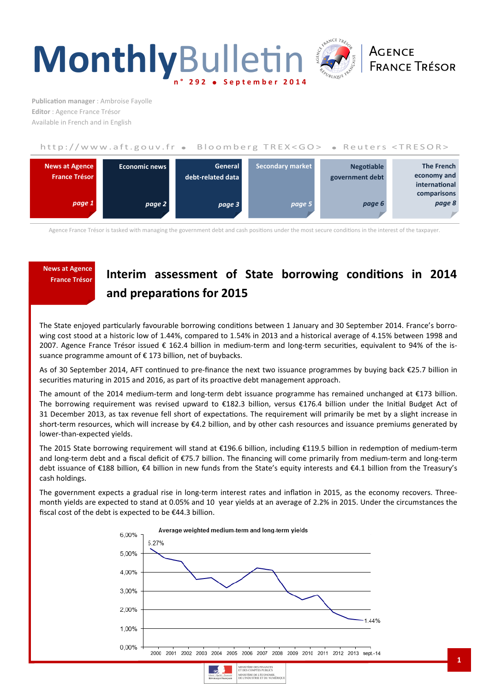



**Publication manager** : Ambroise Fayolle **Editor** : Agence France Trésor Available in French and in English

# http://www.aft.gouv.fr . Bloomberg TREX<GO> . Reuters <TRESOR>



Agence France Trésor is tasked with managing the government debt and cash positions under the most secure conditions in the interest of the taxpayer.

# **News at Agence**

# **France Trésor Interim assessment of State borrowing conditions in 2014** and preparations for 2015

The State enjoyed particularly favourable borrowing conditions between 1 January and 30 September 2014. France's borrowing cost stood at a historic low of 1.44%, compared to 1.54% in 2013 and a historical average of 4.15% between 1998 and 2007. Agence France Trésor issued € 162.4 billion in medium-term and long-term securities, equivalent to 94% of the issuance programme amount of € 173 billion, net of buybacks.

As of 30 September 2014, AFT continued to pre-finance the next two issuance programmes by buying back  $\epsilon$ 25.7 billion in securities maturing in 2015 and 2016, as part of its proactive debt management approach.

The amount of the 2014 medium-term and long-term debt issuance programme has remained unchanged at €173 billion. The borrowing requirement was revised upward to €182.3 billion, versus €176.4 billion under the Initial Budget Act of 31 December 2013, as tax revenue fell short of expectations. The requirement will primarily be met by a slight increase in short-term resources, which will increase by €4.2 billion, and by other cash resources and issuance premiums generated by lower-than-expected yields.

The 2015 State borrowing requirement will stand at €196.6 billion, including €119.5 billion in redemption of medium-term and long-term debt and a fiscal deficit of €75.7 billion. The financing will come primarily from medium-term and long-term debt issuance of €188 billion, €4 billion in new funds from the State's equity interests and €4.1 billion from the Treasury's cash holdings.

The government expects a gradual rise in long-term interest rates and inflation in 2015, as the economy recovers. Threemonth yields are expected to stand at 0.05% and 10 year yields at an average of 2.2% in 2015. Under the circumstances the fiscal cost of the debt is expected to be €44.3 billion.





**1**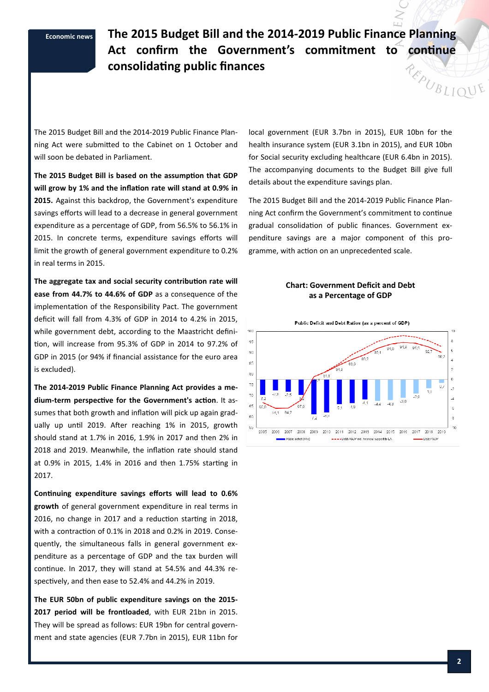**Economic news The 2015 Budget Bill and the 2014-2019 Public Finance Planning**  Act confirm the Government's commitment to continue **consolidang public finances**  REPUBLIQUE

The 2015 Budget Bill and the 2014-2019 Public Finance Planning Act were submitted to the Cabinet on 1 October and will soon be debated in Parliament.

The 2015 Budget Bill is based on the assumption that GDP will grow by 1% and the inflation rate will stand at 0.9% in **2015.** Against this backdrop, the Government's expenditure savings efforts will lead to a decrease in general government expenditure as a percentage of GDP, from 56.5% to 56.1% in 2015. In concrete terms, expenditure savings efforts will limit the growth of general government expenditure to 0.2% in real terms in 2015.

The aggregate tax and social security contribution rate will **ease from 44.7% to 44.6% of GDP** as a consequence of the implementation of the Responsibility Pact. The government deficit will fall from 4.3% of GDP in 2014 to 4.2% in 2015, while government debt, according to the Maastricht defini tion, will increase from 95.3% of GDP in 2014 to 97.2% of GDP in 2015 (or 94% if financial assistance for the euro area is excluded).

**The 2014-2019 Public Finance Planning Act provides a me**dium-term perspective for the Government's action. It assumes that both growth and inflation will pick up again gradually up until 2019. After reaching 1% in 2015, growth should stand at 1.7% in 2016, 1.9% in 2017 and then 2% in 2018 and 2019. Meanwhile, the inflation rate should stand at 0.9% in 2015, 1.4% in 2016 and then 1.75% starting in 2017.

**Continuing expenditure savings efforts will lead to 0.6% growth** of general government expenditure in real terms in 2016, no change in 2017 and a reduction starting in 2018, with a contraction of 0.1% in 2018 and 0.2% in 2019. Consequently, the simultaneous falls in general government expenditure as a percentage of GDP and the tax burden will continue. In 2017, they will stand at 54.5% and 44.3% respectively, and then ease to 52.4% and 44.2% in 2019.

**The EUR 50bn of public expenditure savings on the 2015- 2017 period will be frontloaded**, with EUR 21bn in 2015. They will be spread as follows: EUR 19bn for central government and state agencies (EUR 7.7bn in 2015), EUR 11bn for

local government (EUR 3.7bn in 2015), EUR 10bn for the health insurance system (EUR 3.1bn in 2015), and EUR 10bn for Social security excluding healthcare (EUR 6.4bn in 2015). The accompanying documents to the Budget Bill give full details about the expenditure savings plan.

The 2015 Budget Bill and the 2014-2019 Public Finance Planning Act confirm the Government's commitment to continue gradual consolidation of public finances. Government expenditure savings are a major component of this programme, with action on an unprecedented scale.

## **Chart: Government Deficit and Debt as a Percentage of GDP**

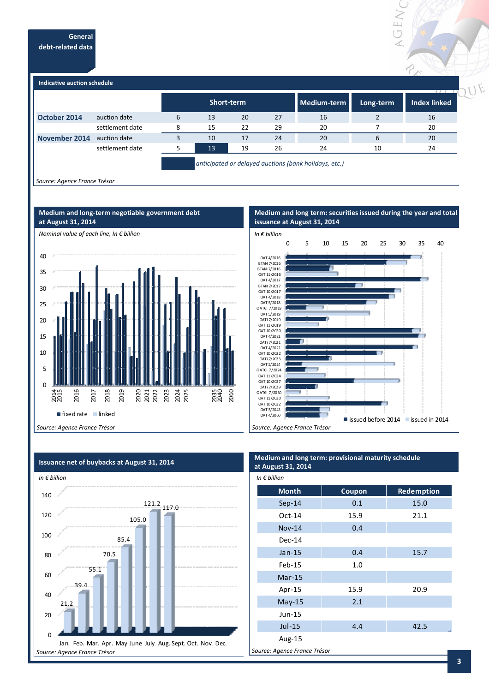**General debt-related data** 



*Source: Agence France Trésor* 







**Medium and long term: securities issued during the year and total** 

VGEW

 $\overrightarrow{\gamma}$ 



# **Medium and long term: provisional maturity schedule at August 31, 2014**   $I_n \cap B_n$ *illi*

| <i>in</i> € <i>pillion</i>   |        |            |  |  |
|------------------------------|--------|------------|--|--|
| <b>Month</b>                 | Coupon | Redemption |  |  |
| $Sep-14$                     | 0.1    | 15.0       |  |  |
| $Oct-14$                     | 15.9   | 21.1       |  |  |
| <b>Nov-14</b>                | 0.4    |            |  |  |
| $Dec-14$                     |        |            |  |  |
| $Jan-15$                     | 0.4    | 15.7       |  |  |
| $Feb-15$                     | 1.0    |            |  |  |
| $Mar-15$                     |        |            |  |  |
| Apr-15                       | 15.9   | 20.9       |  |  |
| $May-15$                     | 2.1    |            |  |  |
| $Jun-15$                     |        |            |  |  |
| $Jul-15$                     | 4.4    | 42.5       |  |  |
| Aug-15                       |        |            |  |  |
| Source: Agence France Trésor |        |            |  |  |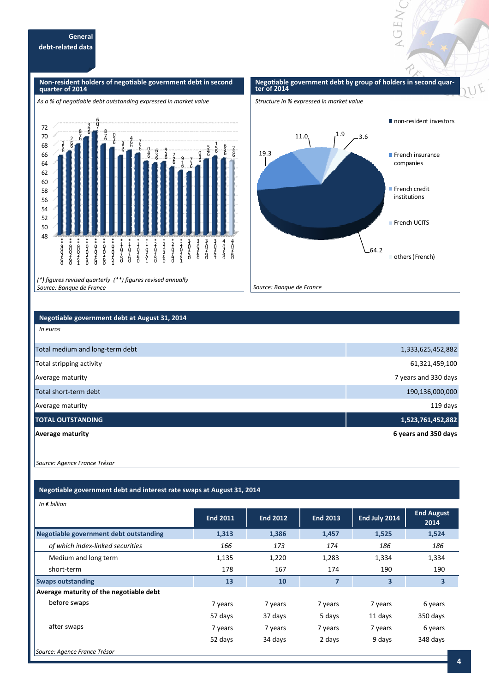#### **Non-resident holders of negotiable government debt in second quarter of 2014**

#### 48 50 52 54 56 58 60 62 64 66 68 70 72 \* 900<br>60<br>60<br>60 \*  $*$  and  $450$ \*\* 900251 \*\* 0-07490 \*\* 0-02460 \*\* 0-07490 \*\* 0-07421 \* 1<br>0<br>2<br>2<br>2<br>0 \* 1<br>0<br>6<br>0 \* 1<br>0<br>9<br>0<br>0 \* 1+02421 \* 2402490 \*210260 \*2<br>0<br>0<br>0<br>0<br>0 \* 2102221 3) クタクロ 3<br>0<br>6<br>6 まりその 1 2 / 2 0 1 3 4<br>ዕንደ<br>ዕ 4<br>6<br>6 6 5 .2 6 6 2 F .8 6 9 .3 7 ğ  $\frac{6}{5}$ 6 7 .8 6 7  $\overline{0}$ 6 5 .3 6 6 .4 6 5 .7 6 4 .0 6 3 .6 6 3 .9 6 2 .7 6 1 .9 6 1 .7 6 3  $\begin{smallmatrix}&&5\&5\0&6\end{smallmatrix}$ 6 5 .1 6 4 .6 6 4  $\frac{2}{n}$ As a % of negotiable debt outstanding expressed in market value

*(\*) figures revised quarterly (\*\*) figures revised annually Source: Banque de France* 

#### Negotiable government debt by group of holders in second quar**ter of 2014**

**GENY** 

F





# **Negotiable government debt at August 31, 2014**

| <b>Average maturity</b>         | 6 years and 350 days |
|---------------------------------|----------------------|
| <b>TOTAL OUTSTANDING</b>        | 1,523,761,452,882    |
| Average maturity                | 119 days             |
| Total short-term debt           | 190,136,000,000      |
| Average maturity                | 7 years and 330 days |
| Total stripping activity        | 61,321,459,100       |
| Total medium and long-term debt | 1,333,625,452,882    |
|                                 |                      |

 *Source: Agence France Trésor* 

*In euros* 

# **Negotiable government debt and interest rate swaps at August 31, 2014**

| In $\epsilon$ billion                   |                 |                 |                 |               |                           |
|-----------------------------------------|-----------------|-----------------|-----------------|---------------|---------------------------|
|                                         | <b>End 2011</b> | <b>End 2012</b> | <b>End 2013</b> | End July 2014 | <b>End August</b><br>2014 |
| Negotiable government debt outstanding  | 1,313           | 1,386           | 1,457           | 1,525         | 1,524                     |
| of which index-linked securities        | 166             | 173             | 174             | 186           | 186                       |
| Medium and long term                    | 1,135           | 1,220           | 1,283           | 1,334         | 1,334                     |
| short-term                              | 178             | 167             | 174             | 190           | 190                       |
| <b>Swaps outstanding</b>                | 13              | 10              | 7               | 3             | $\overline{\mathbf{3}}$   |
| Average maturity of the negotiable debt |                 |                 |                 |               |                           |
| before swaps                            | 7 years         | 7 years         | 7 years         | 7 years       | 6 years                   |
|                                         | 57 days         | 37 days         | 5 days          | 11 days       | 350 days                  |
| after swaps                             | 7 years         | 7 years         | 7 years         | 7 years       | 6 years                   |
|                                         | 52 days         | 34 days         | 2 days          | 9 days        | 348 days                  |
| Source: Agence France Trésor            |                 |                 |                 |               |                           |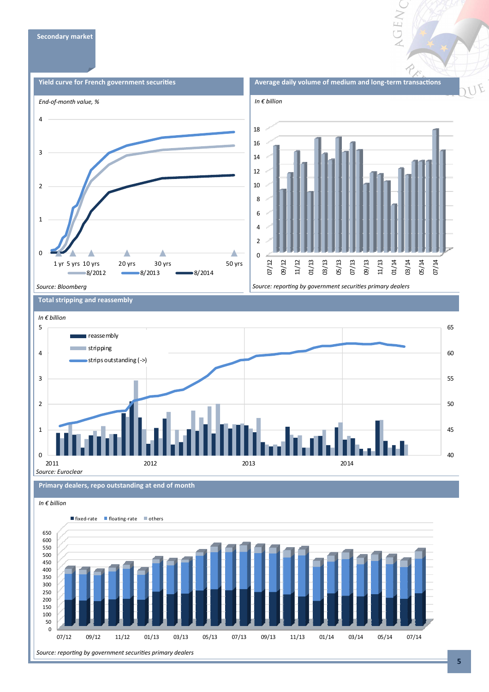

NGEN

# **Total stripping and reassembly**



#### **Primary dealers, repo outstanding at end of month**



## **5**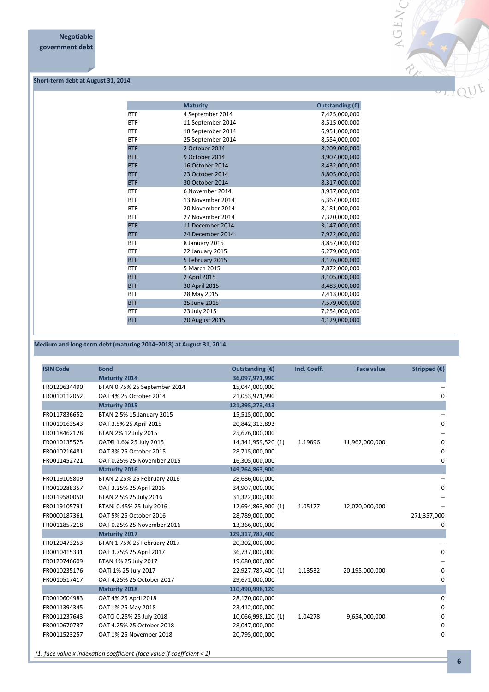

### **Short-term debt at August 31, 2014**

|            | <b>Maturity</b>   | Outstanding (€) |
|------------|-------------------|-----------------|
| <b>BTF</b> | 4 September 2014  | 7,425,000,000   |
| <b>BTF</b> | 11 September 2014 | 8,515,000,000   |
| <b>BTF</b> | 18 September 2014 | 6,951,000,000   |
| <b>BTF</b> | 25 September 2014 | 8,554,000,000   |
| <b>BTF</b> | 2 October 2014    | 8,209,000,000   |
| <b>BTF</b> | 9 October 2014    | 8,907,000,000   |
| <b>BTF</b> | 16 October 2014   | 8,432,000,000   |
| <b>BTF</b> | 23 October 2014   | 8,805,000,000   |
| <b>BTF</b> | 30 October 2014   | 8,317,000,000   |
| <b>BTF</b> | 6 November 2014   | 8,937,000,000   |
| <b>BTF</b> | 13 November 2014  | 6,367,000,000   |
| <b>BTF</b> | 20 November 2014  | 8,181,000,000   |
| <b>BTF</b> | 27 November 2014  | 7,320,000,000   |
| <b>BTF</b> | 11 December 2014  | 3,147,000,000   |
| <b>BTF</b> | 24 December 2014  | 7,922,000,000   |
| <b>BTF</b> | 8 January 2015    | 8,857,000,000   |
| <b>BTF</b> | 22 January 2015   | 6,279,000,000   |
| <b>BTF</b> | 5 February 2015   | 8,176,000,000   |
| <b>BTF</b> | 5 March 2015      | 7,872,000,000   |
| <b>BTF</b> | 2 April 2015      | 8,105,000,000   |
| <b>BTF</b> | 30 April 2015     | 8,483,000,000   |
| <b>BTF</b> | 28 May 2015       | 7,413,000,000   |
| <b>BTF</b> | 25 June 2015      | 7,579,000,000   |
| <b>BTF</b> | 23 July 2015      | 7,254,000,000   |
| <b>BTF</b> | 20 August 2015    | 4,129,000,000   |
|            |                   |                 |

# **Medium and long-term debt (maturing 2014–2018) at August 31, 2014**

| Stripped $(E)$ | <b>Face value</b> | Ind. Coeff. | Outstanding $(E)$  | <b>Bond</b>                  | <b>ISIN Code</b> |
|----------------|-------------------|-------------|--------------------|------------------------------|------------------|
|                |                   |             | 36,097,971,990     | <b>Maturity 2014</b>         |                  |
|                |                   |             | 15,044,000,000     | BTAN 0.75% 25 September 2014 | FR0120634490     |
| $\mathbf 0$    |                   |             | 21,053,971,990     | OAT 4% 25 October 2014       | FR0010112052     |
|                |                   |             | 121,395,273,413    | <b>Maturity 2015</b>         |                  |
|                |                   |             | 15,515,000,000     | BTAN 2.5% 15 January 2015    | FR0117836652     |
| $\Omega$       |                   |             | 20,842,313,893     | OAT 3.5% 25 April 2015       | FR0010163543     |
|                |                   |             | 25,676,000,000     | BTAN 2% 12 July 2015         | FR0118462128     |
| $\mathbf 0$    | 11,962,000,000    | 1.19896     | 14,341,959,520 (1) | OAT€i 1.6% 25 July 2015      | FR0010135525     |
| $\Omega$       |                   |             | 28,715,000,000     | OAT 3% 25 October 2015       | FR0010216481     |
| $\mathbf 0$    |                   |             | 16,305,000,000     | OAT 0.25% 25 November 2015   | FR0011452721     |
|                |                   |             | 149,764,863,900    | <b>Maturity 2016</b>         |                  |
|                |                   |             | 28,686,000,000     | BTAN 2.25% 25 February 2016  | FR0119105809     |
| $\mathbf 0$    |                   |             | 34,907,000,000     | OAT 3.25% 25 April 2016      | FR0010288357     |
|                |                   |             | 31,322,000,000     | BTAN 2.5% 25 July 2016       | FR0119580050     |
|                | 12,070,000,000    | 1.05177     | 12,694,863,900 (1) | BTANi 0.45% 25 July 2016     | FR0119105791     |
| 271,357,000    |                   |             | 28,789,000,000     | OAT 5% 25 October 2016       | FR0000187361     |
| 0              |                   |             | 13,366,000,000     | OAT 0.25% 25 November 2016   | FR0011857218     |
|                |                   |             | 129,317,787,400    | <b>Maturity 2017</b>         |                  |
|                |                   |             | 20,302,000,000     | BTAN 1.75% 25 February 2017  | FR0120473253     |
| $\Omega$       |                   |             | 36,737,000,000     | OAT 3.75% 25 April 2017      | FR0010415331     |
|                |                   |             | 19,680,000,000     | BTAN 1% 25 July 2017         | FR0120746609     |
| 0              | 20,195,000,000    | 1.13532     | 22,927,787,400 (1) | OATi 1% 25 July 2017         | FR0010235176     |
| $\mathbf 0$    |                   |             | 29,671,000,000     | OAT 4.25% 25 October 2017    | FR0010517417     |
|                |                   |             | 110,490,998,120    | <b>Maturity 2018</b>         |                  |
| 0              |                   |             | 28,170,000,000     | OAT 4% 25 April 2018         | FR0010604983     |
| $\Omega$       |                   |             | 23,412,000,000     | OAT 1% 25 May 2018           | FR0011394345     |
| $\mathbf 0$    | 9,654,000,000     | 1.04278     | 10,066,998,120 (1) | OAT€i 0.25% 25 July 2018     | FR0011237643     |
| 0              |                   |             | 28,047,000,000     | OAT 4.25% 25 October 2018    | FR0010670737     |
| $\Omega$       |                   |             | 20,795,000,000     | OAT 1% 25 November 2018      | FR0011523257     |

*(1) face value x indexation coefficient (face value if coefficient < 1)*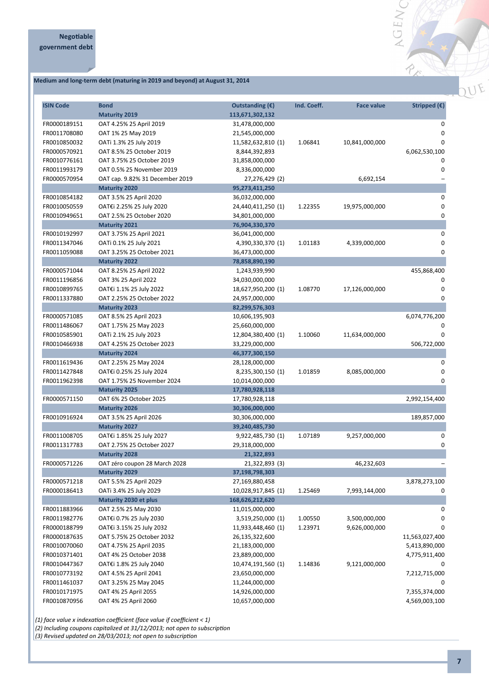# **Medium and long-term debt (maturing in 2019 and beyond) at August 31, 2014**



| <b>ISIN Code</b> | <b>Bond</b>                     | Outstanding $(\epsilon)$ | Ind. Coeff. | <b>Face value</b> | Stripped $(\epsilon)$ |
|------------------|---------------------------------|--------------------------|-------------|-------------------|-----------------------|
|                  | <b>Maturity 2019</b>            | 113,671,302,132          |             |                   |                       |
| FR0000189151     | OAT 4.25% 25 April 2019         | 31,478,000,000           |             |                   | 0                     |
| FR0011708080     | OAT 1% 25 May 2019              | 21,545,000,000           |             |                   | 0                     |
| FR0010850032     | OATi 1.3% 25 July 2019          | 11,582,632,810 (1)       | 1.06841     | 10,841,000,000    | 0                     |
| FR0000570921     | OAT 8.5% 25 October 2019        | 8,844,392,893            |             |                   | 6,062,530,100         |
| FR0010776161     | OAT 3.75% 25 October 2019       | 31,858,000,000           |             |                   | 0                     |
| FR0011993179     | OAT 0.5% 25 November 2019       | 8,336,000,000            |             |                   | 0                     |
| FR0000570954     | OAT cap. 9.82% 31 December 2019 | 27,276,429 (2)           |             | 6,692,154         |                       |
|                  | <b>Maturity 2020</b>            | 95,273,411,250           |             |                   |                       |
| FR0010854182     | OAT 3.5% 25 April 2020          | 36,032,000,000           |             |                   | 0                     |
| FR0010050559     | OAT€i 2.25% 25 July 2020        | 24,440,411,250 (1)       | 1.22355     | 19,975,000,000    | $\mathbf 0$           |
| FR0010949651     | OAT 2.5% 25 October 2020        | 34,801,000,000           |             |                   | 0                     |
|                  | <b>Maturity 2021</b>            | 76,904,330,370           |             |                   |                       |
| FR0010192997     | OAT 3.75% 25 April 2021         | 36,041,000,000           |             |                   | 0                     |
| FR0011347046     | OATi 0.1% 25 July 2021          | 4,390,330,370 (1)        | 1.01183     | 4,339,000,000     | 0                     |
| FR0011059088     | OAT 3.25% 25 October 2021       | 36,473,000,000           |             |                   | 0                     |
|                  | <b>Maturity 2022</b>            | 78,858,890,190           |             |                   |                       |
| FR0000571044     | OAT 8.25% 25 April 2022         | 1,243,939,990            |             |                   | 455,868,400           |
| FR0011196856     | OAT 3% 25 April 2022            | 34,030,000,000           |             |                   | 0                     |
| FR0010899765     | OAT€i 1.1% 25 July 2022         | 18,627,950,200 (1)       | 1.08770     | 17,126,000,000    | 0                     |
| FR0011337880     | OAT 2.25% 25 October 2022       | 24,957,000,000           |             |                   | 0                     |
|                  | <b>Maturity 2023</b>            | 82,299,576,303           |             |                   |                       |
| FR0000571085     | OAT 8.5% 25 April 2023          | 10,606,195,903           |             |                   | 6,074,776,200         |
| FR0011486067     | OAT 1.75% 25 May 2023           | 25,660,000,000           |             |                   | 0                     |
| FR0010585901     | OATi 2.1% 25 July 2023          | 12,804,380,400 (1)       | 1.10060     | 11,634,000,000    | $\Omega$              |
| FR0010466938     | OAT 4.25% 25 October 2023       | 33,229,000,000           |             |                   | 506,722,000           |
|                  | <b>Maturity 2024</b>            | 46,377,300,150           |             |                   |                       |
| FR0011619436     | OAT 2.25% 25 May 2024           | 28,128,000,000           |             |                   | 0                     |
| FR0011427848     | OAT€i 0.25% 25 July 2024        | 8,235,300,150 (1)        | 1.01859     | 8,085,000,000     | $\Omega$              |
| FR0011962398     | OAT 1.75% 25 November 2024      | 10,014,000,000           |             |                   | 0                     |
|                  | <b>Maturity 2025</b>            | 17,780,928,118           |             |                   |                       |
| FR0000571150     | OAT 6% 25 October 2025          | 17,780,928,118           |             |                   | 2,992,154,400         |
|                  | <b>Maturity 2026</b>            | 30,306,000,000           |             |                   |                       |
| FR0010916924     | OAT 3.5% 25 April 2026          | 30,306,000,000           |             |                   | 189,857,000           |
|                  | <b>Maturity 2027</b>            | 39,240,485,730           |             |                   |                       |
| FR0011008705     | OAT€i 1.85% 25 July 2027        | 9,922,485,730 (1)        | 1.07189     | 9,257,000,000     | 0                     |
| FR0011317783     | OAT 2.75% 25 October 2027       | 29,318,000,000           |             |                   | 0                     |
|                  | <b>Maturity 2028</b>            | 21,322,893               |             |                   |                       |
| FR0000571226     | OAT zéro coupon 28 March 2028   | 21,322,893 (3)           |             | 46,232,603        |                       |
|                  | <b>Maturity 2029</b>            | 37,198,798,303           |             |                   |                       |
| FR0000571218     | OAT 5.5% 25 April 2029          | 27,169,880,458           |             |                   | 3,878,273,100         |
| FR0000186413     | OATi 3.4% 25 July 2029          | 10,028,917,845 (1)       | 1.25469     | 7,993,144,000     | 0                     |
|                  | Maturity 2030 et plus           | 168,626,212,620          |             |                   |                       |
| FR0011883966     | OAT 2.5% 25 May 2030            | 11,015,000,000           |             |                   | 0                     |
| FR0011982776     | OAT€i 0.7% 25 July 2030         | 3,519,250,000 (1)        | 1.00550     | 3,500,000,000     | 0                     |
| FR0000188799     | OAT€i 3.15% 25 July 2032        | 11,933,448,460 (1)       | 1.23971     | 9,626,000,000     | 0                     |
| FR0000187635     | OAT 5.75% 25 October 2032       | 26,135,322,600           |             |                   | 11,563,027,400        |
| FR0010070060     | OAT 4.75% 25 April 2035         | 21,183,000,000           |             |                   | 5,413,890,000         |
| FR0010371401     | OAT 4% 25 October 2038          | 23,889,000,000           |             |                   | 4,775,911,400         |
| FR0010447367     | OAT€i 1.8% 25 July 2040         | 10,474,191,560 (1)       | 1.14836     | 9,121,000,000     | 0                     |
| FR0010773192     | OAT 4.5% 25 April 2041          | 23,650,000,000           |             |                   | 7,212,715,000         |
| FR0011461037     | OAT 3.25% 25 May 2045           | 11,244,000,000           |             |                   | 0                     |
| FR0010171975     | OAT 4% 25 April 2055            | 14,926,000,000           |             |                   | 7,355,374,000         |
| FR0010870956     | OAT 4% 25 April 2060            | 10,657,000,000           |             |                   | 4,569,003,100         |

 $(1)$  face value x indexation coefficient (face value if coefficient < 1)

*(2) Including coupons capitalized at 31/12/2013; not open to subscription* 

*(3) Revised updated on 28/03/2013; not open to subscription*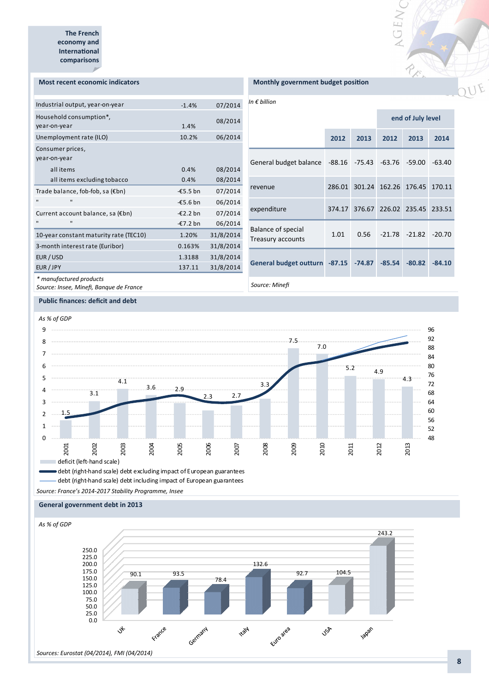#### **Most recent economic indicators**

| Industrial output, year-on-year         | $-1.4%$    | 07/2014   |
|-----------------------------------------|------------|-----------|
| Household consumption*,<br>year-on-year | 1.4%       | 08/2014   |
| Unemployment rate (ILO)                 | 10.2%      | 06/2014   |
| Consumer prices,<br>year-on-year        |            |           |
| all items                               | 0.4%       | 08/2014   |
| all items excluding tobacco             | 0.4%       | 08/2014   |
| Trade balance, fob-fob, sa (€bn)        | $-65.5$ bn | 07/2014   |
| $\blacksquare$<br>$\blacksquare$        | $-£5.6$ bn | 06/2014   |
| Current account balance, sa (€bn)       | $-£2.2$ bn | 07/2014   |
| п<br>$\blacksquare$                     | $-£7.2$ bn | 06/2014   |
| 10-year constant maturity rate (TEC10)  | 1.20%      | 31/8/2014 |
| 3-month interest rate (Euribor)         | 0.163%     | 31/8/2014 |
| EUR / USD                               | 1.3188     | 31/8/2014 |
| EUR / JPY                               | 137.11     | 31/8/2014 |
| * manufactured products                 |            |           |

**Monthly government budget position** 

*In € billion* 

|                                                    |      | end of July level                  |                                   |          |          |
|----------------------------------------------------|------|------------------------------------|-----------------------------------|----------|----------|
|                                                    | 2012 | 2013                               | 2012                              | 2013     | 2014     |
| General budget balance -88.16 -75.43 -63.76 -59.00 |      |                                    |                                   |          | $-63.40$ |
| revenue                                            |      | 286.01 301.24 162.26 176.45 170.11 |                                   |          |          |
| expenditure                                        |      | 374.17 376.67 226.02 235.45 233.51 |                                   |          |          |
| <b>Balance of special</b><br>Treasury accounts     | 1.01 |                                    | $0.56$ $-21.78$ $-21.82$ $-20.70$ |          |          |
| General budget outturn -87.15 -74.87 -85.54        |      |                                    |                                   | $-80.82$ | $-84.10$ |
| Source: Minefi                                     |      |                                    |                                   |          |          |

AGENC

REN

*Source: Insee, Minefi, Banque de France* 

**Public finances: deficit and debt** 



debt (right-hand scale) debt excluding impact of European guarantees debt (right-hand scale) debt including impact of European guarantees

*Source: France's 2014-2017 Stability Programme, Insee* 

#### **General government debt in 2013**